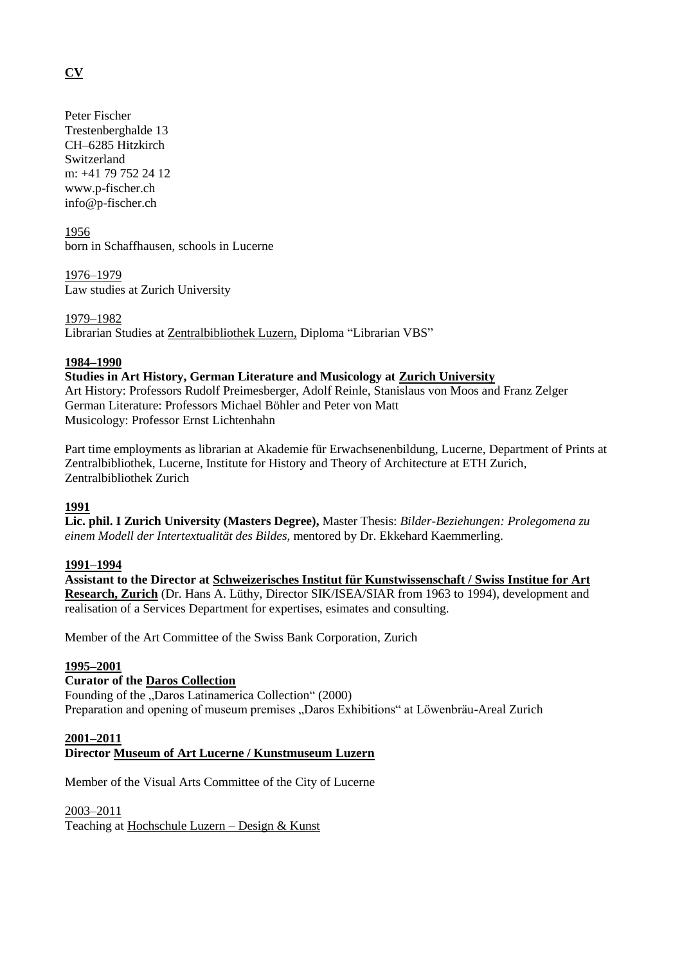# **CV**

Peter Fischer Trestenberghalde 13 CH–6285 Hitzkirch Switzerland m: +41 79 752 24 12 www.p-fischer.ch info@p-fischer.ch

1956 born in Schaffhausen, schools in Lucerne

1976–1979 Law studies at Zurich University

1979–1982 Librarian Studies at [Zentralbibliothek Luzern,](http://www.zhbluzern.ch/en/home/) Diploma "Librarian VBS"

# **1984–1990**

# **Studies in Art History, German Literature and Musicology at [Zurich University](http://www.khist.uzh.ch/en.html)**

Art History: Professors Rudolf Preimesberger, Adolf Reinle, Stanislaus von Moos and Franz Zelger German Literature: Professors Michael Böhler and Peter von Matt Musicology: Professor Ernst Lichtenhahn

Part time employments as librarian at Akademie für Erwachsenenbildung, Lucerne, Department of Prints at Zentralbibliothek, Lucerne, Institute for History and Theory of Architecture at ETH Zurich, Zentralbibliothek Zurich

# **1991**

**Lic. phil. I Zurich University (Masters Degree),** Master Thesis: *Bilder-Beziehungen: Prolegomena zu einem Modell der Intertextualität des Bildes*, mentored by Dr. Ekkehard Kaemmerling.

#### **1991–1994**

**Assistant to the Director at [Schweizerisches Institut für Kunstwissenschaft / Swiss Institue for Art](http://www.sik-isea.ch/en-us/)  [Research, Zurich](http://www.sik-isea.ch/en-us/)** (Dr. Hans A. Lüthy, Director SIK/ISEA/SIAR from 1963 to 1994), development and realisation of a Services Department for expertises, esimates and consulting.

Member of the Art Committee of the Swiss Bank Corporation, Zurich

# **1995–2001**

# **Curator of the [Daros Collection](http://www.daros.ch/home-21.html)**

Founding of the "Daros Latinamerica Collection" (2000) Preparation and opening of museum premises "Daros Exhibitions" at Löwenbräu-Areal Zurich

# **2001–2011**

**Director [Museum of Art Lucerne / Kunstmuseum](http://www.kunstmuseumluzern.ch/en/) Luzern**

Member of the Visual Arts Committee of the City of Lucerne

2003–2011

Teaching at [Hochschule Luzern –](https://www.hslu.ch/en/lucerne-school-of-art-and-design/) Design & Kunst